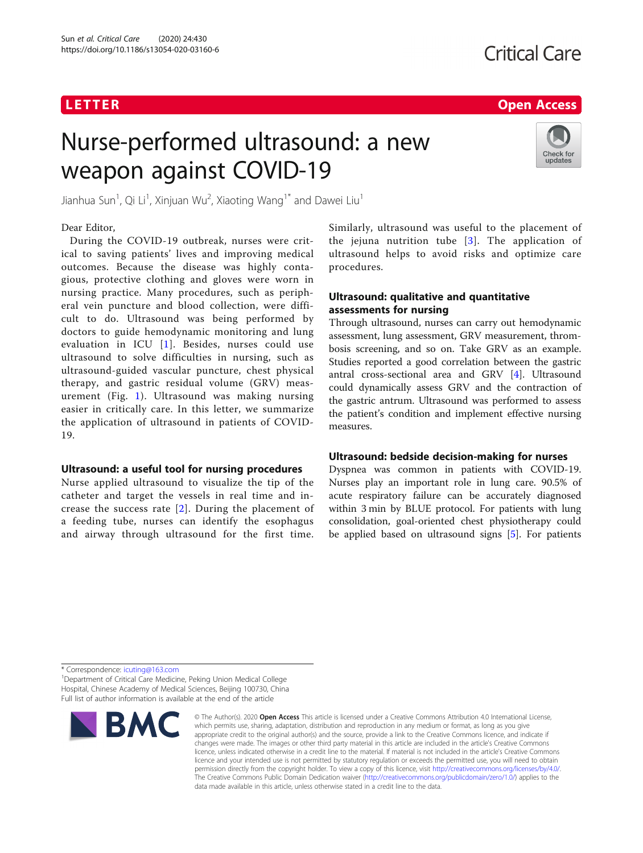# **LETTER CONSTRUCTION CONSTRUCTS**

# Nurse-performed ultrasound: a new weapon against COVID-19



Jianhua Sun<sup>1</sup>, Qi Li<sup>1</sup>, Xinjuan Wu<sup>2</sup>, Xiaoting Wang<sup>1\*</sup> and Dawei Liu<sup>1</sup>

# Dear Editor,

During the COVID-19 outbreak, nurses were critical to saving patients' lives and improving medical outcomes. Because the disease was highly contagious, protective clothing and gloves were worn in nursing practice. Many procedures, such as peripheral vein puncture and blood collection, were difficult to do. Ultrasound was being performed by doctors to guide hemodynamic monitoring and lung evaluation in ICU [[1\]](#page-1-0). Besides, nurses could use ultrasound to solve difficulties in nursing, such as ultrasound-guided vascular puncture, chest physical therapy, and gastric residual volume (GRV) measurement (Fig. [1](#page-1-0)). Ultrasound was making nursing easier in critically care. In this letter, we summarize the application of ultrasound in patients of COVID-19.

# Ultrasound: a useful tool for nursing procedures

Nurse applied ultrasound to visualize the tip of the catheter and target the vessels in real time and increase the success rate [[2\]](#page-1-0). During the placement of a feeding tube, nurses can identify the esophagus and airway through ultrasound for the first time.

Similarly, ultrasound was useful to the placement of the jejuna nutrition tube [\[3\]](#page-1-0). The application of ultrasound helps to avoid risks and optimize care procedures.

# Ultrasound: qualitative and quantitative assessments for nursing

Through ultrasound, nurses can carry out hemodynamic assessment, lung assessment, GRV measurement, thrombosis screening, and so on. Take GRV as an example. Studies reported a good correlation between the gastric antral cross-sectional area and GRV [\[4\]](#page-1-0). Ultrasound could dynamically assess GRV and the contraction of the gastric antrum. Ultrasound was performed to assess the patient's condition and implement effective nursing measures.

## Ultrasound: bedside decision-making for nurses

Dyspnea was common in patients with COVID-19. Nurses play an important role in lung care. 90.5% of acute respiratory failure can be accurately diagnosed within 3 min by BLUE protocol. For patients with lung consolidation, goal-oriented chest physiotherapy could be applied based on ultrasound signs [[5\]](#page-1-0). For patients

\* Correspondence: [icuting@163.com](mailto:icuting@163.com) <sup>1</sup>

<sup>1</sup> Department of Critical Care Medicine, Peking Union Medical College Hospital, Chinese Academy of Medical Sciences, Beijing 100730, China Full list of author information is available at the end of the article



<sup>©</sup> The Author(s), 2020 **Open Access** This article is licensed under a Creative Commons Attribution 4.0 International License, which permits use, sharing, adaptation, distribution and reproduction in any medium or format, as long as you give appropriate credit to the original author(s) and the source, provide a link to the Creative Commons licence, and indicate if changes were made. The images or other third party material in this article are included in the article's Creative Commons licence, unless indicated otherwise in a credit line to the material. If material is not included in the article's Creative Commons licence and your intended use is not permitted by statutory regulation or exceeds the permitted use, you will need to obtain permission directly from the copyright holder. To view a copy of this licence, visit [http://creativecommons.org/licenses/by/4.0/.](http://creativecommons.org/licenses/by/4.0/) The Creative Commons Public Domain Dedication waiver [\(http://creativecommons.org/publicdomain/zero/1.0/](http://creativecommons.org/publicdomain/zero/1.0/)) applies to the data made available in this article, unless otherwise stated in a credit line to the data.